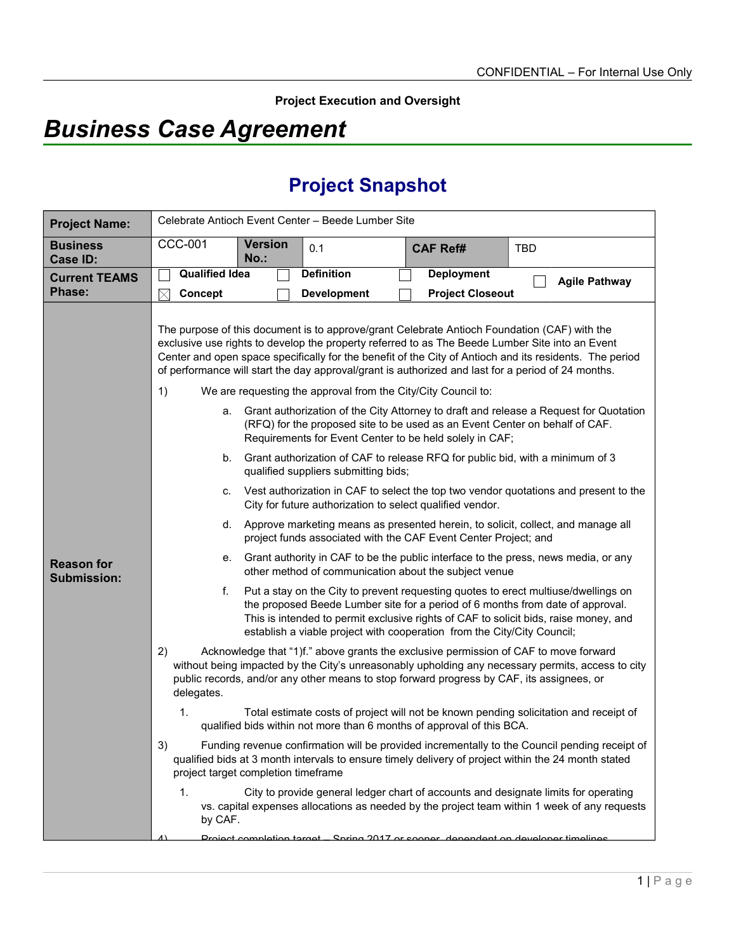**Project Execution and Oversight**

# *Business Case Agreement*

# **Project Snapshot**

| <b>Project Name:</b>                    | Celebrate Antioch Event Center - Beede Lumber Site                                                            |                        |                                                                                                                                                                                                                                                                                                                                                                                                                                                                                                                                                                                                                                                                                                                                                                                           |                                              |                                                                                                                                                                                                                                                                                                                                                                                                                                                                                                                                                                                                                                                                                                                                                                                                                                                                                                                                                                                                                                                                                                                                                                                                                                                                                                                                                                                                                                                                                                                                                                                                                                                                                                                      |
|-----------------------------------------|---------------------------------------------------------------------------------------------------------------|------------------------|-------------------------------------------------------------------------------------------------------------------------------------------------------------------------------------------------------------------------------------------------------------------------------------------------------------------------------------------------------------------------------------------------------------------------------------------------------------------------------------------------------------------------------------------------------------------------------------------------------------------------------------------------------------------------------------------------------------------------------------------------------------------------------------------|----------------------------------------------|----------------------------------------------------------------------------------------------------------------------------------------------------------------------------------------------------------------------------------------------------------------------------------------------------------------------------------------------------------------------------------------------------------------------------------------------------------------------------------------------------------------------------------------------------------------------------------------------------------------------------------------------------------------------------------------------------------------------------------------------------------------------------------------------------------------------------------------------------------------------------------------------------------------------------------------------------------------------------------------------------------------------------------------------------------------------------------------------------------------------------------------------------------------------------------------------------------------------------------------------------------------------------------------------------------------------------------------------------------------------------------------------------------------------------------------------------------------------------------------------------------------------------------------------------------------------------------------------------------------------------------------------------------------------------------------------------------------------|
| <b>Business</b><br>Case ID:             | <b>CCC-001</b>                                                                                                | <b>Version</b><br>No.: | 0.1                                                                                                                                                                                                                                                                                                                                                                                                                                                                                                                                                                                                                                                                                                                                                                                       | <b>CAF Ref#</b>                              | <b>TBD</b>                                                                                                                                                                                                                                                                                                                                                                                                                                                                                                                                                                                                                                                                                                                                                                                                                                                                                                                                                                                                                                                                                                                                                                                                                                                                                                                                                                                                                                                                                                                                                                                                                                                                                                           |
| <b>Current TEAMS</b><br>Phase:          | <b>Qualified Idea</b><br>$\boxtimes$<br>Concept                                                               |                        | <b>Definition</b><br><b>Development</b>                                                                                                                                                                                                                                                                                                                                                                                                                                                                                                                                                                                                                                                                                                                                                   | <b>Deployment</b><br><b>Project Closeout</b> | <b>Agile Pathway</b>                                                                                                                                                                                                                                                                                                                                                                                                                                                                                                                                                                                                                                                                                                                                                                                                                                                                                                                                                                                                                                                                                                                                                                                                                                                                                                                                                                                                                                                                                                                                                                                                                                                                                                 |
| <b>Reason for</b><br><b>Submission:</b> | 1)<br>b.<br>C.<br>d.<br>е.<br>f.<br>2)<br>delegates.<br>1.<br>3)<br>project target completion timeframe<br>1. |                        | The purpose of this document is to approve/grant Celebrate Antioch Foundation (CAF) with the<br>We are requesting the approval from the City/City Council to:<br>(RFQ) for the proposed site to be used as an Event Center on behalf of CAF.<br>Requirements for Event Center to be held solely in CAF;<br>qualified suppliers submitting bids;<br>City for future authorization to select qualified vendor.<br>project funds associated with the CAF Event Center Project; and<br>other method of communication about the subject venue<br>establish a viable project with cooperation from the City/City Council;<br>public records, and/or any other means to stop forward progress by CAF, its assignees, or<br>qualified bids within not more than 6 months of approval of this BCA. |                                              | exclusive use rights to develop the property referred to as The Beede Lumber Site into an Event<br>Center and open space specifically for the benefit of the City of Antioch and its residents. The period<br>of performance will start the day approval/grant is authorized and last for a period of 24 months.<br>a. Grant authorization of the City Attorney to draft and release a Request for Quotation<br>Grant authorization of CAF to release RFQ for public bid, with a minimum of 3<br>Vest authorization in CAF to select the top two vendor quotations and present to the<br>Approve marketing means as presented herein, to solicit, collect, and manage all<br>Grant authority in CAF to be the public interface to the press, news media, or any<br>Put a stay on the City to prevent requesting quotes to erect multiuse/dwellings on<br>the proposed Beede Lumber site for a period of 6 months from date of approval.<br>This is intended to permit exclusive rights of CAF to solicit bids, raise money, and<br>Acknowledge that "1)f." above grants the exclusive permission of CAF to move forward<br>without being impacted by the City's unreasonably upholding any necessary permits, access to city<br>Total estimate costs of project will not be known pending solicitation and receipt of<br>Funding revenue confirmation will be provided incrementally to the Council pending receipt of<br>qualified bids at 3 month intervals to ensure timely delivery of project within the 24 month stated<br>City to provide general ledger chart of accounts and designate limits for operating<br>vs. capital expenses allocations as needed by the project team within 1 week of any requests |
|                                         | by CAF.<br><b>Droiget completion target. Spring 2017 or seener, dependent on developer timelings</b>          |                        |                                                                                                                                                                                                                                                                                                                                                                                                                                                                                                                                                                                                                                                                                                                                                                                           |                                              |                                                                                                                                                                                                                                                                                                                                                                                                                                                                                                                                                                                                                                                                                                                                                                                                                                                                                                                                                                                                                                                                                                                                                                                                                                                                                                                                                                                                                                                                                                                                                                                                                                                                                                                      |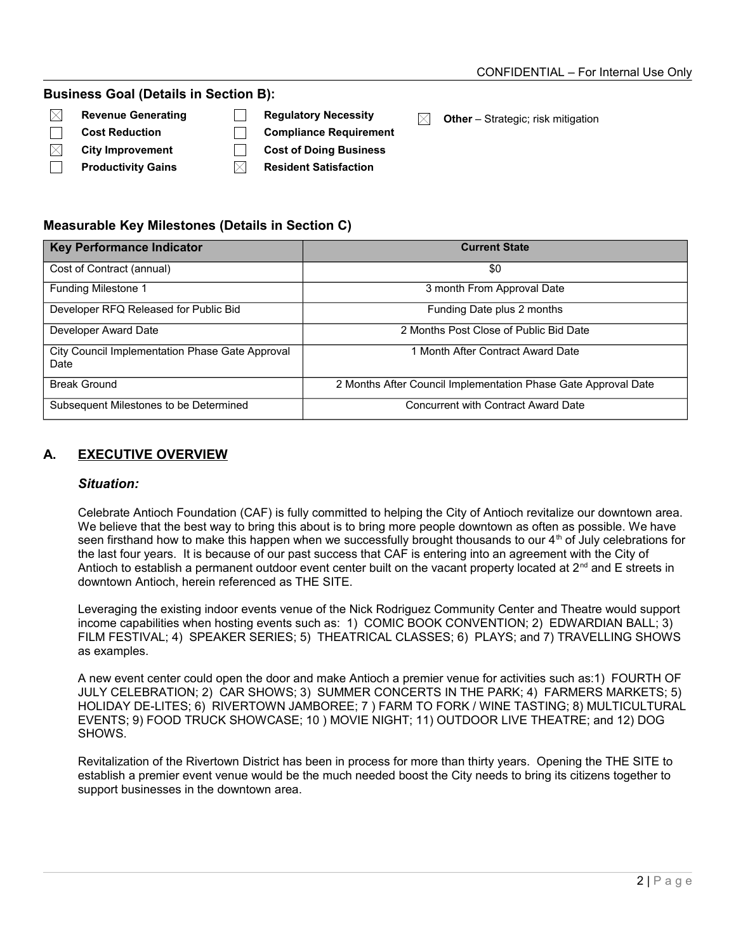#### **Business Goal (Details in Section B):**

- $\boxtimes$
- $\Box$
- $\boxtimes$
- $\Box$
- **Cost Reduction Compliance Requirement**
- **City Improvement Cost of Doing Business**
	- **Productivity Gains**  $\boxtimes$  Resident Satisfaction
- **Revenue Generating Canadiation Regulatory Necessity Canadiation Mexican Dividend Pother** Strategic; risk mitigation

## **Measurable Key Milestones (Details in Section C)**

| <b>Key Performance Indicator</b>                        | <b>Current State</b>                                           |  |  |
|---------------------------------------------------------|----------------------------------------------------------------|--|--|
| Cost of Contract (annual)                               | \$0                                                            |  |  |
| Funding Milestone 1                                     | 3 month From Approval Date                                     |  |  |
| Developer RFQ Released for Public Bid                   | Funding Date plus 2 months                                     |  |  |
| Developer Award Date                                    | 2 Months Post Close of Public Bid Date                         |  |  |
| City Council Implementation Phase Gate Approval<br>Date | 1 Month After Contract Award Date                              |  |  |
| <b>Break Ground</b>                                     | 2 Months After Council Implementation Phase Gate Approval Date |  |  |
| Subsequent Milestones to be Determined                  | Concurrent with Contract Award Date                            |  |  |

# **A. EXECUTIVE OVERVIEW**

#### *Situation:*

Celebrate Antioch Foundation (CAF) is fully committed to helping the City of Antioch revitalize our downtown area. We believe that the best way to bring this about is to bring more people downtown as often as possible. We have seen firsthand how to make this happen when we successfully brought thousands to our  $4<sup>th</sup>$  of July celebrations for the last four years. It is because of our past success that CAF is entering into an agreement with the City of Antioch to establish a permanent outdoor event center built on the vacant property located at  $2^{nd}$  and E streets in downtown Antioch, herein referenced as THE SITE.

Leveraging the existing indoor events venue of the Nick Rodriguez Community Center and Theatre would support income capabilities when hosting events such as: 1) COMIC BOOK CONVENTION; 2) EDWARDIAN BALL; 3) FILM FESTIVAL; 4) SPEAKER SERIES; 5) THEATRICAL CLASSES; 6) PLAYS; and 7) TRAVELLING SHOWS as examples.

A new event center could open the door and make Antioch a premier venue for activities such as:1) FOURTH OF JULY CELEBRATION; 2) CAR SHOWS; 3) SUMMER CONCERTS IN THE PARK; 4) FARMERS MARKETS; 5) HOLIDAY DE-LITES; 6) RIVERTOWN JAMBOREE; 7 ) FARM TO FORK / WINE TASTING; 8) MULTICULTURAL EVENTS; 9) FOOD TRUCK SHOWCASE; 10 ) MOVIE NIGHT; 11) OUTDOOR LIVE THEATRE; and 12) DOG SHOWS.

Revitalization of the Rivertown District has been in process for more than thirty years. Opening the THE SITE to establish a premier event venue would be the much needed boost the City needs to bring its citizens together to support businesses in the downtown area.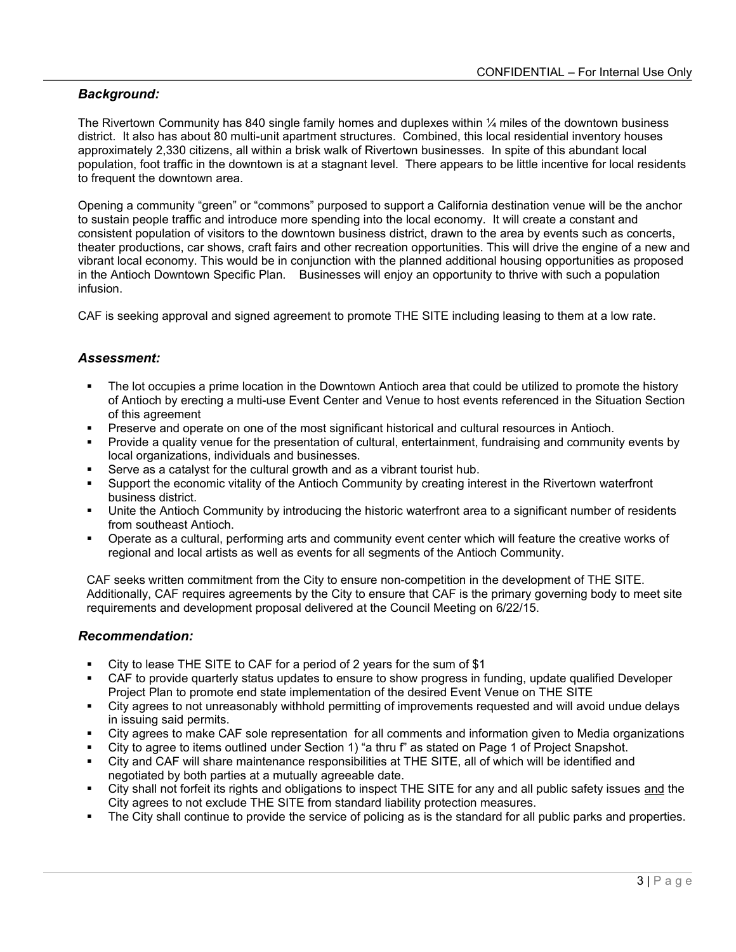## *Background:*

The Rivertown Community has 840 single family homes and duplexes within ¼ miles of the downtown business district. It also has about 80 multi-unit apartment structures. Combined, this local residential inventory houses approximately 2,330 citizens, all within a brisk walk of Rivertown businesses. In spite of this abundant local population, foot traffic in the downtown is at a stagnant level. There appears to be little incentive for local residents to frequent the downtown area.

Opening a community "green" or "commons" purposed to support a California destination venue will be the anchor to sustain people traffic and introduce more spending into the local economy. It will create a constant and consistent population of visitors to the downtown business district, drawn to the area by events such as concerts, theater productions, car shows, craft fairs and other recreation opportunities. This will drive the engine of a new and vibrant local economy. This would be in conjunction with the planned additional housing opportunities as proposed in the Antioch Downtown Specific Plan. Businesses will enjoy an opportunity to thrive with such a population infusion.

CAF is seeking approval and signed agreement to promote THE SITE including leasing to them at a low rate.

## *Assessment:*

- The lot occupies a prime location in the Downtown Antioch area that could be utilized to promote the history of Antioch by erecting a multi-use Event Center and Venue to host events referenced in the Situation Section of this agreement
- Preserve and operate on one of the most significant historical and cultural resources in Antioch.
- Provide a quality venue for the presentation of cultural, entertainment, fundraising and community events by local organizations, individuals and businesses.
- Serve as a catalyst for the cultural growth and as a vibrant tourist hub.
- Support the economic vitality of the Antioch Community by creating interest in the Rivertown waterfront business district.
- Unite the Antioch Community by introducing the historic waterfront area to a significant number of residents from southeast Antioch.
- Operate as a cultural, performing arts and community event center which will feature the creative works of regional and local artists as well as events for all segments of the Antioch Community.

CAF seeks written commitment from the City to ensure non-competition in the development of THE SITE. Additionally, CAF requires agreements by the City to ensure that CAF is the primary governing body to meet site requirements and development proposal delivered at the Council Meeting on 6/22/15.

#### *Recommendation:*

- City to lease THE SITE to CAF for a period of 2 years for the sum of \$1
- CAF to provide quarterly status updates to ensure to show progress in funding, update qualified Developer Project Plan to promote end state implementation of the desired Event Venue on THE SITE
- City agrees to not unreasonably withhold permitting of improvements requested and will avoid undue delays in issuing said permits.
- City agrees to make CAF sole representation for all comments and information given to Media organizations
- City to agree to items outlined under Section 1) "a thru f" as stated on Page 1 of Project Snapshot.
- City and CAF will share maintenance responsibilities at THE SITE, all of which will be identified and negotiated by both parties at a mutually agreeable date.
- City shall not forfeit its rights and obligations to inspect THE SITE for any and all public safety issues and the City agrees to not exclude THE SITE from standard liability protection measures.
- The City shall continue to provide the service of policing as is the standard for all public parks and properties.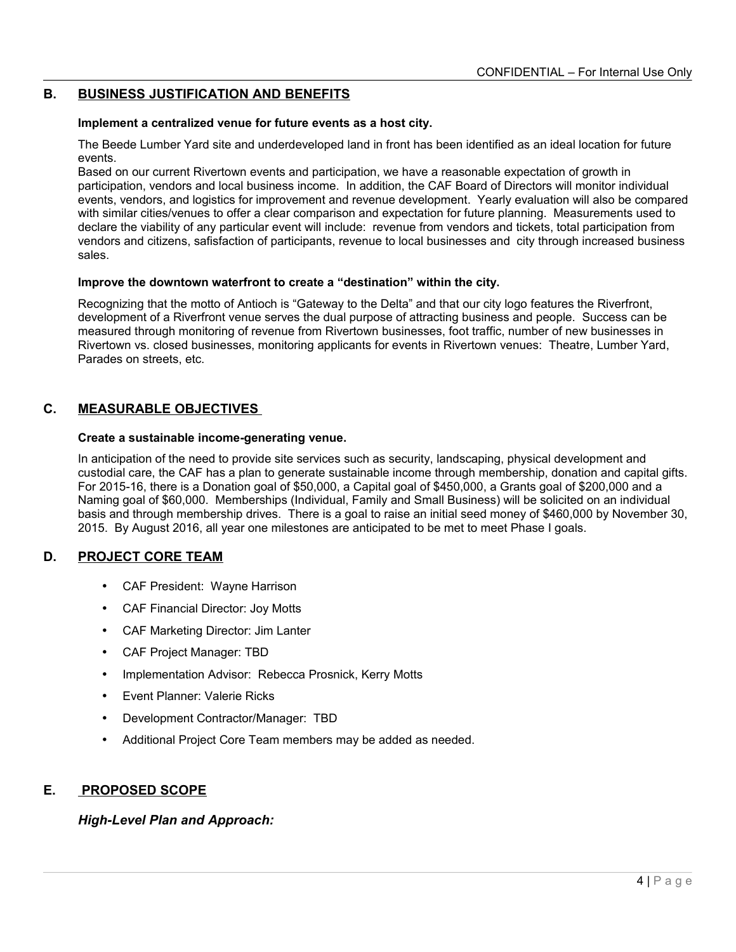## **B. BUSINESS JUSTIFICATION AND BENEFITS**

#### **Implement a centralized venue for future events as a host city.**

The Beede Lumber Yard site and underdeveloped land in front has been identified as an ideal location for future events.

Based on our current Rivertown events and participation, we have a reasonable expectation of growth in participation, vendors and local business income. In addition, the CAF Board of Directors will monitor individual events, vendors, and logistics for improvement and revenue development. Yearly evaluation will also be compared with similar cities/venues to offer a clear comparison and expectation for future planning. Measurements used to declare the viability of any particular event will include: revenue from vendors and tickets, total participation from vendors and citizens, safisfaction of participants, revenue to local businesses and city through increased business sales.

#### **Improve the downtown waterfront to create a "destination" within the city.**

Recognizing that the motto of Antioch is "Gateway to the Delta" and that our city logo features the Riverfront, development of a Riverfront venue serves the dual purpose of attracting business and people. Success can be measured through monitoring of revenue from Rivertown businesses, foot traffic, number of new businesses in Rivertown vs. closed businesses, monitoring applicants for events in Rivertown venues: Theatre, Lumber Yard, Parades on streets, etc.

## **C. MEASURABLE OBJECTIVES**

#### **Create a sustainable income-generating venue.**

In anticipation of the need to provide site services such as security, landscaping, physical development and custodial care, the CAF has a plan to generate sustainable income through membership, donation and capital gifts. For 2015-16, there is a Donation goal of \$50,000, a Capital goal of \$450,000, a Grants goal of \$200,000 and a Naming goal of \$60,000. Memberships (Individual, Family and Small Business) will be solicited on an individual basis and through membership drives. There is a goal to raise an initial seed money of \$460,000 by November 30, 2015. By August 2016, all year one milestones are anticipated to be met to meet Phase I goals.

#### **D. PROJECT CORE TEAM**

- CAF President: Wayne Harrison
- CAF Financial Director: Joy Motts
- CAF Marketing Director: Jim Lanter
- CAF Project Manager: TBD
- Implementation Advisor: Rebecca Prosnick, Kerry Motts
- Event Planner: Valerie Ricks
- Development Contractor/Manager: TBD
- Additional Project Core Team members may be added as needed.

## **E. PROPOSED SCOPE**

#### *High-Level Plan and Approach:*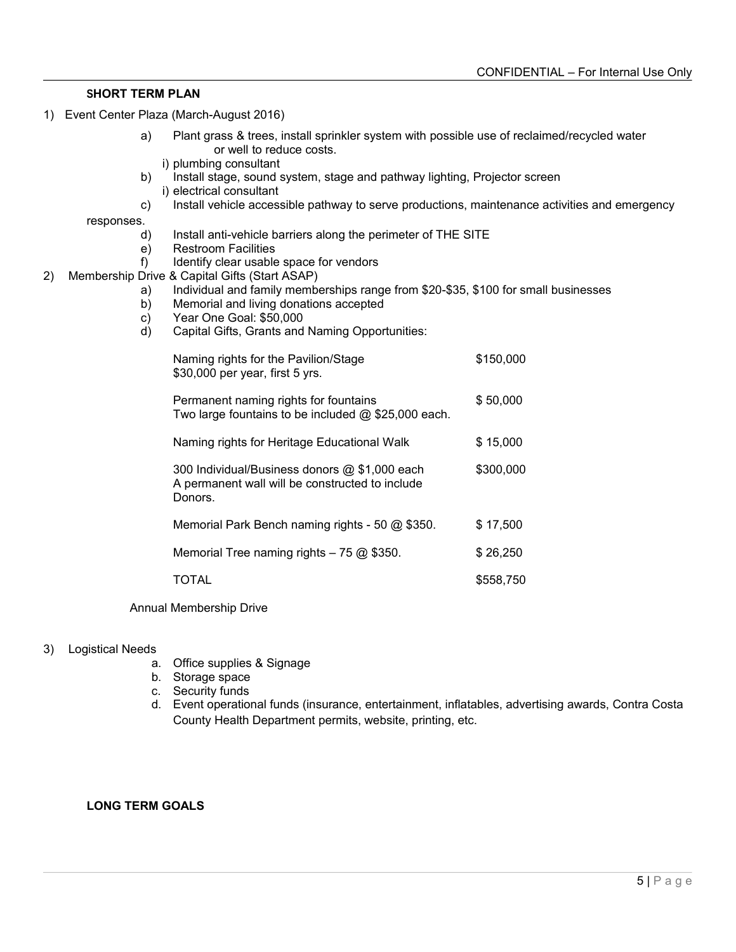### **SHORT TERM PLAN**

- 1) Event Center Plaza (March-August 2016)
	- a) Plant grass & trees, install sprinkler system with possible use of reclaimed/recycled water or well to reduce costs.
		- i) plumbing consultant
	- b) Install stage, sound system, stage and pathway lighting, Projector screen i) electrical consultant
	- c) Install vehicle accessible pathway to serve productions, maintenance activities and emergency

responses.

- d) Install anti-vehicle barriers along the perimeter of THE SITE
- e) Restroom Facilities
- f) Identify clear usable space for vendors
- 2) Membership Drive & Capital Gifts (Start ASAP)
	- a) Individual and family memberships range from \$20-\$35, \$100 for small businesses
	- b) Memorial and living donations accepted
	- c) Year One Goal: \$50,000
	- d) Capital Gifts, Grants and Naming Opportunities:

| Naming rights for the Pavilion/Stage<br>\$30,000 per year, first 5 yrs.                                     | \$150,000 |
|-------------------------------------------------------------------------------------------------------------|-----------|
| Permanent naming rights for fountains<br>Two large fountains to be included @ \$25,000 each.                | \$50,000  |
| Naming rights for Heritage Educational Walk                                                                 | \$15,000  |
| 300 Individual/Business donors @ \$1,000 each<br>A permanent wall will be constructed to include<br>Donors. | \$300,000 |
| Memorial Park Bench naming rights - 50 @ \$350.                                                             | \$17.500  |
| Memorial Tree naming rights $-75$ @ \$350.                                                                  | \$26,250  |
| TOTAL                                                                                                       | \$558,750 |

Annual Membership Drive

#### 3) Logistical Needs

- a. Office supplies & Signage
- b. Storage space
- c. Security funds
- d. Event operational funds (insurance, entertainment, inflatables, advertising awards, Contra Costa County Health Department permits, website, printing, etc.

#### **LONG TERM GOALS**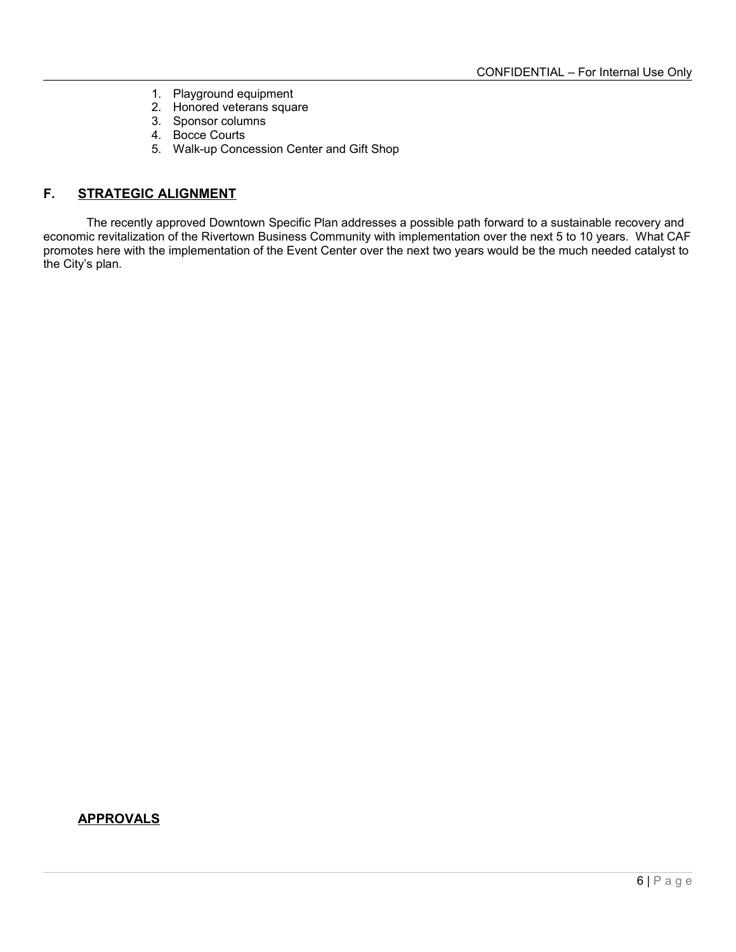- 1. Playground equipment
- 2. Honored veterans square
- 3. Sponsor columns
- 4. Bocce Courts
- 5. Walk-up Concession Center and Gift Shop

# **F. STRATEGIC ALIGNMENT**

The recently approved Downtown Specific Plan addresses a possible path forward to a sustainable recovery and economic revitalization of the Rivertown Business Community with implementation over the next 5 to 10 years. What CAF promotes here with the implementation of the Event Center over the next two years would be the much needed catalyst to the City's plan.

## **APPROVALS**